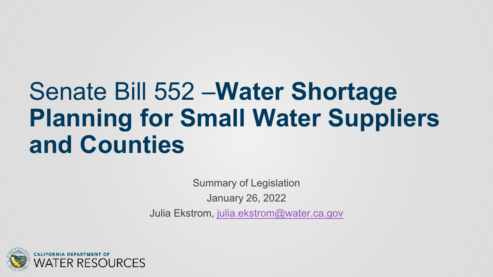# Senate Bill 552 –**Water Shortage Planning for Small Water Suppliers and Counties**

Summary of Legislation January 26, 2022 Julia Ekstrom, [julia.ekstrom@water.ca.gov](mailto:Julia.ekstrom@water.ca.gov)

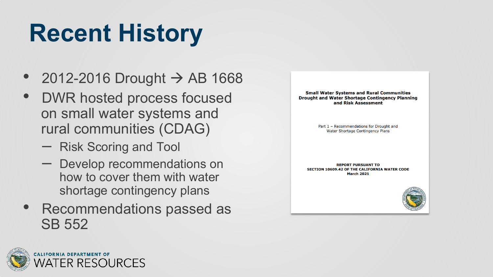# **Recent History**

- 2012-2016 Drought  $\rightarrow$  AB 1668
- DWR hosted process focused on small water systems and rural communities (CDAG)
	- Risk Scoring and Tool
	- Develop recommendations on how to cover them with water shortage contingency plans
- Recommendations passed as SB 552



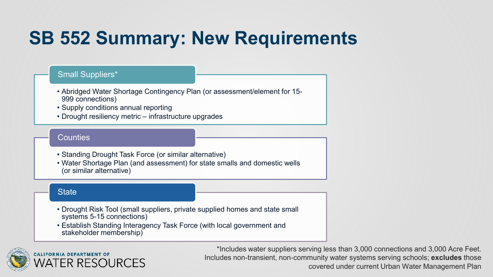### **SB 552 Summary: New Requirements**

#### Small Suppliers\*

- Abridged Water Shortage Contingency Plan (or assessment/element for 15- 999 connections)
- Supply conditions annual reporting
- Drought resiliency metric infrastructure upgrades

#### **Counties**

- Standing Drought Task Force (or similar alternative)
- Water Shortage Plan (and assessment) for state smalls and domestic wells (or similar alternative)

#### **State**

- Drought Risk Tool (small suppliers, private supplied homes and state small systems 5-15 connections)
- Establish Standing Interagency Task Force (with local government and stakeholder membership)



\*Includes water suppliers serving less than 3,000 connections and 3,000 Acre Feet. Includes non-transient, non-community water systems serving schools; **excludes** those covered under current Urban Water Management Plan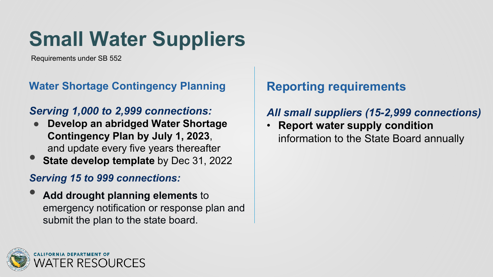# **Small Water Suppliers**

Requirements under SB 552

#### **Water Shortage Contingency Planning**

#### *Serving 1,000 to 2,999 connections:*

- **Develop an abridged Water Shortage Contingency Plan by July 1, 2023**, and update every five years thereafter
- **State develop template** by Dec 31, 2022

#### *Serving 15 to 999 connections:*

• **Add drought planning elements** to emergency notification or response plan and submit the plan to the state board.

### **Reporting requirements**

#### *All small suppliers (15-2,999 connections)*

• **Report water supply condition**  information to the State Board annually

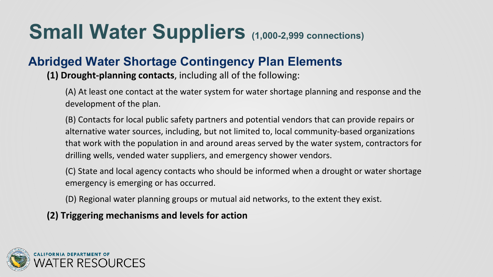## **Small Water Suppliers** (1,000-2,999 connections)

#### **Abridged Water Shortage Contingency Plan Elements**

**(1) Drought-planning contacts**, including all of the following:

(A) At least one contact at the water system for water shortage planning and response and the development of the plan.

(B) Contacts for local public safety partners and potential vendors that can provide repairs or alternative water sources, including, but not limited to, local community-based organizations that work with the population in and around areas served by the water system, contractors for drilling wells, vended water suppliers, and emergency shower vendors.

(C) State and local agency contacts who should be informed when a drought or water shortage emergency is emerging or has occurred.

(D) Regional water planning groups or mutual aid networks, to the extent they exist.

**(2) Triggering mechanisms and levels for action**

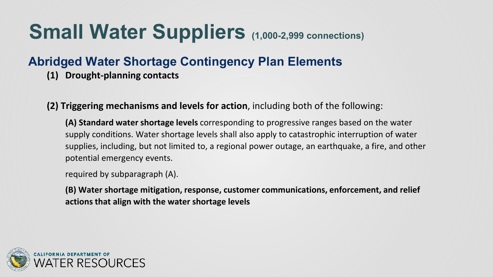## **Small Water Suppliers** (1,000-2,999 connections)

#### **Abridged Water Shortage Contingency Plan Elements**

- **(1) Drought-planning contacts**
- **(2) Triggering mechanisms and levels for action**, including both of the following:

**(A) Standard water shortage levels** corresponding to progressive ranges based on the water supply conditions. Water shortage levels shall also apply to catastrophic interruption of water supplies, including, but not limited to, a regional power outage, an earthquake, a fire, and other potential emergency events.

required by subparagraph (A).

**(B) Water shortage mitigation, response, customer communications, enforcement, and relief actions that align with the water shortage levels**

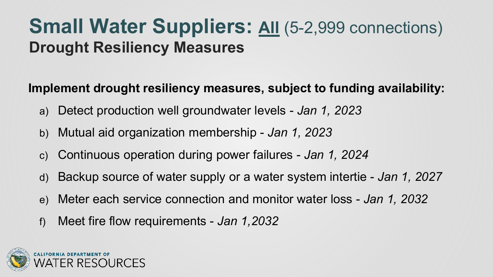### **Small Water Suppliers: All (5-2,999 connections) Drought Resiliency Measures**

#### **Implement drought resiliency measures, subject to funding availability:**

- a) Detect production well groundwater levels *Jan 1, 2023*
- b) Mutual aid organization membership *Jan 1, 2023*
- c) Continuous operation during power failures *Jan 1, 2024*
- d) Backup source of water supply or a water system intertie *Jan 1, 2027*
- e) Meter each service connection and monitor water loss *Jan 1, 2032*
- f) Meet fire flow requirements *Jan 1,2032*

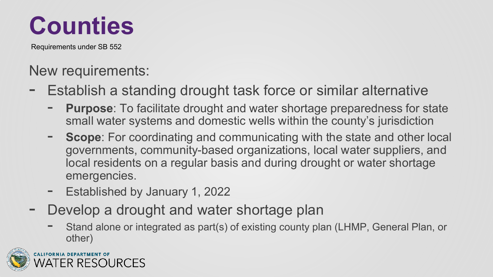

Requirements under SB 552

### New requirements:

- Establish a standing drought task force or similar alternative
	- **Purpose**: To facilitate drought and water shortage preparedness for state small water systems and domestic wells within the county's jurisdiction
	- **Scope**: For coordinating and communicating with the state and other local governments, community-based organizations, local water suppliers, and local residents on a regular basis and during drought or water shortage emergencies.
	- Established by January 1, 2022
- Develop a drought and water shortage plan
	- Stand alone or integrated as part(s) of existing county plan (LHMP, General Plan, or other)

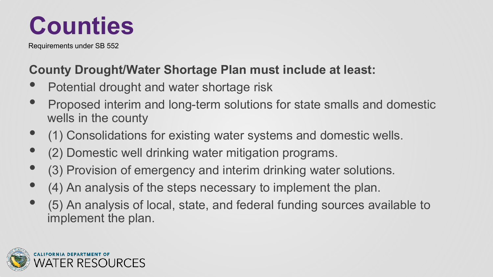

Requirements under SB 552

### **County Drought/Water Shortage Plan must include at least:**

- Potential drought and water shortage risk
- Proposed interim and long-term solutions for state smalls and domestic wells in the county
- (1) Consolidations for existing water systems and domestic wells.
- (2) Domestic well drinking water mitigation programs.
- (3) Provision of emergency and interim drinking water solutions.
- (4) An analysis of the steps necessary to implement the plan.
- (5) An analysis of local, state, and federal funding sources available to implement the plan.

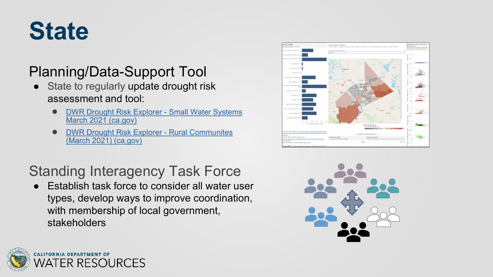# **State**

### Planning/Data-Support Tool

- State to regularly update drought risk assessment and tool:
	- **[DWR Drought Risk Explorer -](https://tableau.cnra.ca.gov/t/DWR_IntegratedDataAnalysisBranch/views/SmallWaterSystemRisk-March2021/Dashboard?%3AshowAppBanner=false&%3Adisplay_count=n&%3AshowVizHome=n&%3Aorigin=viz_share_link&%3AisGuestRedirectFromVizportal=y&%3Aembed=y) Small Water Systems** March 2021 (ca.gov)
	- **[DWR Drought Risk Explorer -](https://tableau.cnra.ca.gov/t/DWR_IntegratedDataAnalysisBranch/views/DWRDroughtRiskExplorer-RuralCommunitesMarch2021/Dashboard?:showAppBanner=false&:display_count=n&:showVizHome=n&:origin=viz_share_link&:isGuestRedirectFromVizportal=y&:embed=y) Rural Communites** (March 2021) (ca.gov)

### Standing Interagency Task Force

● Establish task force to consider all water user types, develop ways to improve coordination, with membership of local government, stakeholders